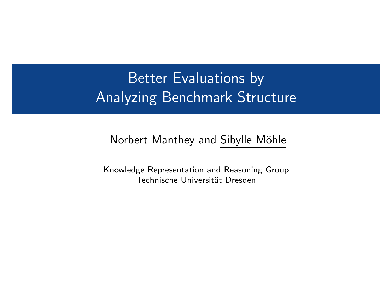## Better Evaluations by Analyzing Benchmark Structure

#### Norbert Manthey and Sibylle Möhle

Knowledge Representation and Reasoning Group Technische Universität Dresden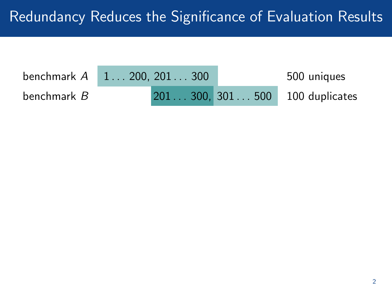| benchmark A        | $1 \dots 200, 201 \dots 300$ |  | 500 uniques                     |
|--------------------|------------------------------|--|---------------------------------|
| benchmark <i>B</i> |                              |  | 201 300, 301 500 100 duplicates |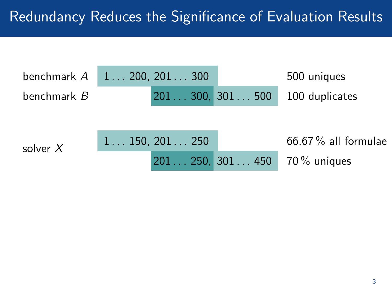| benchmark $A$ | $1 \ldots 200, 201 \ldots 300$ |                | 500 uniques                  |
|---------------|--------------------------------|----------------|------------------------------|
| benchmark B   |                                | 201300, 301500 | 100 duplicates               |
|               |                                |                |                              |
| solver $X$    | $1 \ldots 150, 201 \ldots 250$ |                | $66.67\%$ all formulae       |
|               |                                |                | 201 250, 301 450 70% uniques |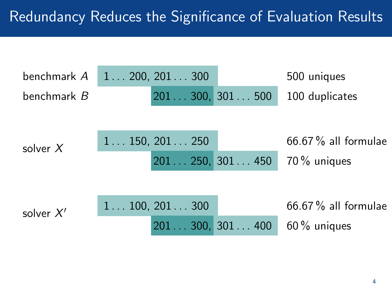| benchmark A | $1 \ldots 200, 201 \ldots 300$ |                | 500 uniques            |
|-------------|--------------------------------|----------------|------------------------|
| benchmark B |                                | 201300,301500  | 100 duplicates         |
|             |                                |                |                        |
| solver $X$  | $1 \ldots 150, 201 \ldots 250$ |                | $66.67\%$ all formulae |
|             |                                | 201250, 301450 | $70\%$ uniques         |
|             |                                |                |                        |
| solver $X'$ | $1 \ldots 100, 201 \ldots 300$ |                | 66.67 % all formulae   |
|             |                                | 201300, 301400 | $60\%$ uniques         |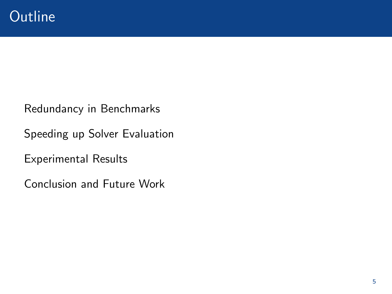Redundancy in Benchmarks

Speeding up Solver Evaluation

Experimental Results

Conclusion and Future Work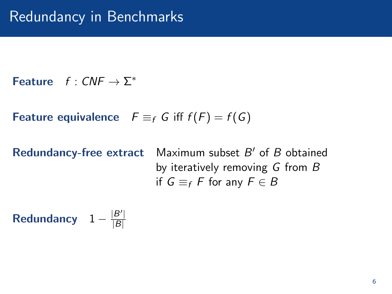**Feature**  $f: CNF \rightarrow \Sigma^*$ 

Feature equivalence  $F \equiv_f G$  iff  $f(F) = f(G)$ 

Redundancy-free extract

Maximum subset  $B'$  of  $B$  obtained by iteratively removing G from B if  $G \equiv_f F$  for any  $F \in B$ 

Redundancy  $1 - \frac{|B'|}{|B|}$  $|B|$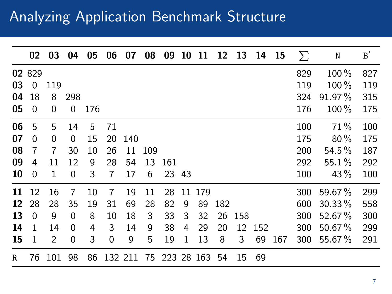### Analyzing Application Benchmark Structure

|    | 02       | 03  | 04  | 05  | 06          | 07      | 08  | 09         | 10 | 11  | 12  | 13  | 14  | 15  | Σ   | N         | B'  |
|----|----------|-----|-----|-----|-------------|---------|-----|------------|----|-----|-----|-----|-----|-----|-----|-----------|-----|
|    | 02 829   |     |     |     |             |         |     |            |    |     |     |     |     |     | 829 | 100 %     | 827 |
| 03 | $\Omega$ | 119 |     |     |             |         |     |            |    |     |     |     |     |     | 119 | $100\%$   | 119 |
| 04 | 18       | 8   | 298 |     |             |         |     |            |    |     |     |     |     |     | 324 | $91.97\%$ | 315 |
| 05 | $\Omega$ | 0   | 0   | 176 |             |         |     |            |    |     |     |     |     |     | 176 | $100\%$   | 175 |
| 06 | 5        | 5   | 14  | 5   | 71          |         |     |            |    |     |     |     |     |     | 100 | 71%       | 100 |
| 07 | $\Omega$ | 0   | 0   | 15  | 20          | 140     |     |            |    |     |     |     |     |     | 175 | $80\%$    | 175 |
| 08 | 7        | 7   | 30  | 10  | 26          | 11      | 109 |            |    |     |     |     |     |     | 200 | $54.5\%$  | 187 |
| 09 | 4        | 11  | 12  | 9   | 28          | 54      | 13  | 161        |    |     |     |     |     |     | 292 | $55.1\%$  | 292 |
| 10 | $\Omega$ | 1   | 0   | 3   | 7           | 17      | 6   | 23 43      |    |     |     |     |     |     | 100 | $43\%$    | 100 |
| 11 | 12       | 16  | 7   | 10  | 7           | 19      | 11  | 28         | 11 | 179 |     |     |     |     | 300 | $59.67\%$ | 299 |
| 12 | 28       | 28  | 35  | 19  | 31          | 69      | 28  | 82         | 9  | 89  | 182 |     |     |     | 600 | $30.33\%$ | 558 |
| 13 | $\Omega$ | 9   | 0   | 8   | 10          | 18      | 3   | 33         | 3  | 32  | 26  | 158 |     |     | 300 | 52.67%    | 300 |
| 14 | 1        | 14  | 0   | 4   | 3           | 14      | 9   | 38         | 4  | 29  | 20  | 12  | 152 |     | 300 | $50.67\%$ | 299 |
| 15 | 1        | 2   | 0   | 3   | $\mathbf 0$ | 9       | 5   | 19         | 1  | 13  | 8   | 3   | 69  | 167 | 300 | 55.67%    | 291 |
| R. | 76       | 101 | 98  | 86  |             | 132 211 | 75  | 223 28 163 |    |     | 54  | 15  | 69  |     |     |           |     |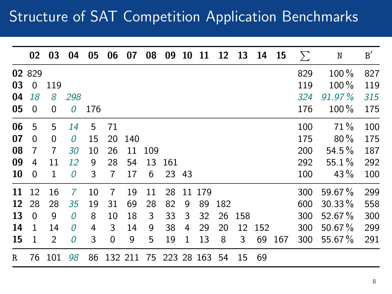## Structure of SAT Competition Application Benchmarks

|    | 02       | 03  | 04       | 05  | 06                    | 07  | 08    | 09    | 10 | 11     | 12  | 13  |     | 14 15 | $\sum$ | N         | B'  |
|----|----------|-----|----------|-----|-----------------------|-----|-------|-------|----|--------|-----|-----|-----|-------|--------|-----------|-----|
|    | 02 829   |     |          |     |                       |     |       |       |    |        |     |     |     |       | 829    | 100%      | 827 |
| 03 | $\Omega$ | 119 |          |     |                       |     |       |       |    |        |     |     |     |       | 119    | 100 %     | 119 |
| 04 | 18       | 8   | 298      |     |                       |     |       |       |    |        |     |     |     |       | 324    | $91.97\%$ | 315 |
| 05 | $\Omega$ | 0   | 0        | 176 |                       |     |       |       |    |        |     |     |     |       | 176    | $100\%$   | 175 |
| 06 | 5        | 5   | 14       | 5   | 71                    |     |       |       |    |        |     |     |     |       | 100    | 71%       | 100 |
| 07 | $\Omega$ | 0   | 0        | 15  | 20                    | 140 |       |       |    |        |     |     |     |       | 175    | $80\%$    | 175 |
| 08 | 7        | 7   | 30       | 10  | 26                    | 11  | - 109 |       |    |        |     |     |     |       | 200    | $54.5\%$  | 187 |
| 09 | 4        | 11  | 12       | 9   | 28                    | 54  | 13    | 161   |    |        |     |     |     |       | 292    | $55.1\%$  | 292 |
| 10 | $\Omega$ | 1   | 0        | 3   | 7                     | 17  | 6     | 23 43 |    |        |     |     |     |       | 100    | $43\%$    | 100 |
| 11 | 12       | 16  | 7        | 10  | 7                     | 19  | 11    | 28    |    | 11 179 |     |     |     |       | 300    | 59.67%    | 299 |
| 12 | 28       | 28  | 35       | 19  | 31                    | 69  | 28    | 82    | 9  | 89     | 182 |     |     |       | 600    | $30.33\%$ | 558 |
| 13 | $\Omega$ | 9   | $\Omega$ | 8   | 10                    | 18  | 3     | 33    | 3  | 32     | 26  | 158 |     |       | 300    | 52.67%    | 300 |
| 14 | 1        | 14  | 0        | 4   | 3                     | 14  | 9     | 38    | 4  | 29     | 20  | 12  | 152 |       | 300    | $50.67\%$ | 299 |
| 15 | 1        | 2   | 0        | 3   | 0                     | 9   | 5     | 19    | 1  | 13     | 8   | 3   | 69  | 167   | 300    | 55.67%    | 291 |
| R  | 76       | 101 | 98       | 86  | 132 211 75 223 28 163 |     |       |       |    |        | 54  | 15  | 69  |       |        |           |     |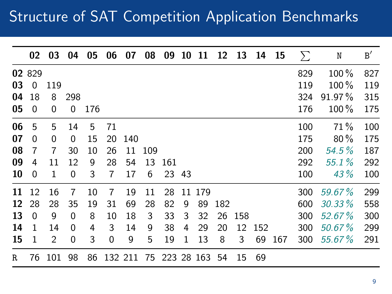## Structure of SAT Competition Application Benchmarks

|    | 02           | 03       | 04  | 05  | 06          | 07      | 08  | 09            | 10 | 11     | 12  | 13  | 14  | -15 | $\Sigma$ | N         | B'  |
|----|--------------|----------|-----|-----|-------------|---------|-----|---------------|----|--------|-----|-----|-----|-----|----------|-----------|-----|
|    | 02 829       |          |     |     |             |         |     |               |    |        |     |     |     |     | 829      | 100 %     | 827 |
| 03 | $\Omega$     | 119      |     |     |             |         |     |               |    |        |     |     |     |     | 119      | $100\%$   | 119 |
| 04 | 18           | 8        | 298 |     |             |         |     |               |    |        |     |     |     |     | 324      | $91.97\%$ | 315 |
| 05 | $\Omega$     | 0        | 0   | 176 |             |         |     |               |    |        |     |     |     |     | 176      | 100 %     | 175 |
| 06 | 5            | 5        | 14  | 5   | 71          |         |     |               |    |        |     |     |     |     | 100      | 71%       | 100 |
| 07 | $\Omega$     | $\Omega$ | 0   | 15  | 20          | 140     |     |               |    |        |     |     |     |     | 175      | $80\%$    | 175 |
| 08 | 7            | 7        | 30  | 10  | 26          | 11      | 109 |               |    |        |     |     |     |     | 200      | $54.5\%$  | 187 |
| 09 | 4            | 11       | 12  | 9   | 28          | 54      | 13  | 161           |    |        |     |     |     |     | 292      | 55.1%     | 292 |
| 10 | $\Omega$     | 1        | 0   | 3   | 7           | 17      | 6   | 23 43         |    |        |     |     |     |     | 100      | 43%       | 100 |
| 11 | 12           | 16       | 7   | 10  | 7           | 19      | 11  | 28            |    | 11 179 |     |     |     |     | 300      | 59.67%    | 299 |
| 12 | 28           | 28       | 35  | 19  | 31          | 69      | 28  | 82            | 9  | 89     | 182 |     |     |     | 600      | $30.33\%$ | 558 |
| 13 | $\Omega$     | 9        | 0   | 8   | 10          | 18      | 3   | 33            | 3  | 32     | 26  | 158 |     |     | 300      | $52.67\%$ | 300 |
| 14 | $\mathbf{1}$ | 14       | 0   | 4   | 3           | 14      | 9   | 38            | 4  | 29     | 20  | 12  | 152 |     | 300      | 50.67%    | 299 |
| 15 | 1            | 2        | 0   | 3   | $\mathbf 0$ | 9       | 5   | 19            | 1  | 13     | 8   | 3   | 69  | 167 | 300      | 55.67%    | 291 |
| R  | 76           | 101      | 98  | 86  |             | 132 211 | 75  | 223 28 163 54 |    |        |     | 15  | 69  |     |          |           |     |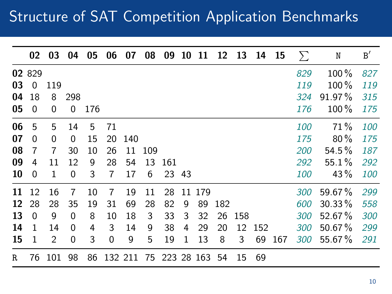## Structure of SAT Competition Application Benchmarks

|    | 02       | 03  | 04  | 05  | 06 | 07      | 08  | 09            | 10 | 11     | 12  | 13  | 14  | 15  | $\Sigma$   | N         | B'  |
|----|----------|-----|-----|-----|----|---------|-----|---------------|----|--------|-----|-----|-----|-----|------------|-----------|-----|
|    | 02 829   |     |     |     |    |         |     |               |    |        |     |     |     |     | 829        | 100 %     | 827 |
| 03 | $\Omega$ | 119 |     |     |    |         |     |               |    |        |     |     |     |     | 119        | $100\%$   | 119 |
| 04 | 18       | 8   | 298 |     |    |         |     |               |    |        |     |     |     |     | 324        | $91.97\%$ | 315 |
| 05 | $\Omega$ | 0   | 0   | 176 |    |         |     |               |    |        |     |     |     |     | 176        | $100\%$   | 175 |
| 06 | 5        | 5   | 14  | 5   | 71 |         |     |               |    |        |     |     |     |     | 100        | 71%       | 100 |
| 07 | $\Omega$ | 0   | 0   | 15  | 20 | 140     |     |               |    |        |     |     |     |     | 175        | $80\%$    | 175 |
| 08 | 7        | 7   | 30  | 10  | 26 | 11      | 109 |               |    |        |     |     |     |     | 200        | $54.5\%$  | 187 |
| 09 | 4        | 11  | 12  | 9   | 28 | 54      | 13  | 161           |    |        |     |     |     |     | 292        | $55.1\%$  | 292 |
| 10 | $\Omega$ | 1   | 0   | 3   | 7  | 17      | 6   | 23 43         |    |        |     |     |     |     | <i>100</i> | $43\%$    | 100 |
| 11 | 12       | 16  | 7   | 10  | 7  | 19      | 11  | 28            |    | 11 179 |     |     |     |     | 300        | 59.67%    | 299 |
| 12 | 28       | 28  | 35  | 19  | 31 | 69      | 28  | 82            | 9  | 89     | 182 |     |     |     | 600        | $30.33\%$ | 558 |
| 13 | $\Omega$ | 9   | 0   | 8   | 10 | 18      | 3   | 33            | 3  | 32     | 26  | 158 |     |     | 300        | $52.67\%$ | 300 |
| 14 | 1        | 14  | 0   | 4   | 3  | 14      | 9   | 38            | 4  | 29     | 20  | 12  | 152 |     | 300        | $50.67\%$ | 299 |
| 15 | 1        | 2   | 0   | 3   | 0  | 9       | 5   | 19            | 1  | 13     | 8   | 3   | 69  | 167 | 300        | 55.67%    | 291 |
| R  | 76       | 101 | 98  | 86  |    | 132 211 |     | 75 223 28 163 |    |        | -54 | 15  | 69  |     |            |           |     |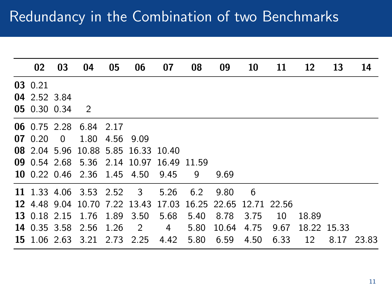| 02           | 03             | 04                          | 05   | 06                                  | 07                                                          | 08   | 09    | 10   | 11   | 12    | 13          | 14         |
|--------------|----------------|-----------------------------|------|-------------------------------------|-------------------------------------------------------------|------|-------|------|------|-------|-------------|------------|
| 03 0.21      |                |                             |      |                                     |                                                             |      |       |      |      |       |             |            |
| 04 2.52 3.84 |                |                             |      |                                     |                                                             |      |       |      |      |       |             |            |
| 05 0.30 0.34 |                | $\overline{2}$              |      |                                     |                                                             |      |       |      |      |       |             |            |
|              |                | 06 0.75 2.28 6.84 2.17      |      |                                     |                                                             |      |       |      |      |       |             |            |
| 070.20       | $\overline{0}$ | 1.80 4.56                   |      | 9.09                                |                                                             |      |       |      |      |       |             |            |
|              |                |                             |      | 08 2.04 5.96 10.88 5.85 16.33 10.40 |                                                             |      |       |      |      |       |             |            |
|              |                |                             |      |                                     | 09 0.54 2.68 5.36 2.14 10.97 16.49 11.59                    |      |       |      |      |       |             |            |
|              |                | 10 0.22 0.46 2.36 1.45 4.50 |      |                                     | 9.45                                                        | 9    | 9.69  |      |      |       |             |            |
|              |                | 11 1.33 4.06 3.53 2.52      |      | $\overline{\mathbf{3}}$             | 5.26                                                        | 6.2  | 9.80  | - 6  |      |       |             |            |
|              |                |                             |      |                                     | 12 4 48 9 04 10 70 7 22 13 43 17 03 16 25 22 65 12 71 22 56 |      |       |      |      |       |             |            |
| 13 0.18 2.15 |                | 1.76                        | 1.89 | 3.50                                | 5.68                                                        | 5.40 | 8.78  | 3.75 | 10   | 18.89 |             |            |
|              |                | 14 0.35 3.58 2.56 1.26      |      | $\overline{\mathbf{2}}$             | 4                                                           | 5.80 | 10.64 | 4.75 | 9.67 |       | 18.22 15.33 |            |
|              |                | 15 1.06 2.63 3.21 2.73 2.25 |      |                                     | 4.42                                                        | 5.80 | 6.59  | 4.50 | 6.33 | 12    |             | 8.17 23.83 |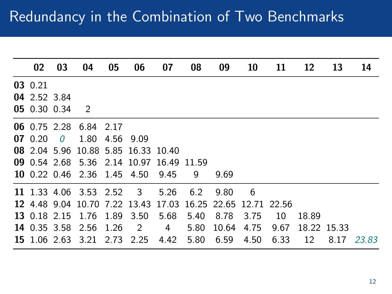| 02           | 03       | 04                          | 05   | 06                                  | 07                                       | 08   | 09                                                          | 10   | 11   | 12          | 13   | 14    |
|--------------|----------|-----------------------------|------|-------------------------------------|------------------------------------------|------|-------------------------------------------------------------|------|------|-------------|------|-------|
| 03 0.21      |          |                             |      |                                     |                                          |      |                                                             |      |      |             |      |       |
| 04 2.52 3.84 |          |                             |      |                                     |                                          |      |                                                             |      |      |             |      |       |
| 05 0.30 0.34 |          | $\overline{2}$              |      |                                     |                                          |      |                                                             |      |      |             |      |       |
|              |          | 06 0.75 2.28 6.84 2.17      |      |                                     |                                          |      |                                                             |      |      |             |      |       |
| $07 \t0.20$  | $\theta$ | 1.80                        | 4.56 | 9.09                                |                                          |      |                                                             |      |      |             |      |       |
|              |          |                             |      | 08 2.04 5.96 10.88 5.85 16.33 10.40 |                                          |      |                                                             |      |      |             |      |       |
|              |          |                             |      |                                     | 09 0.54 2.68 5.36 2.14 10.97 16.49 11.59 |      |                                                             |      |      |             |      |       |
|              |          | 10 0.22 0.46 2.36 1.45 4.50 |      |                                     | 9.45                                     | 9    | 9.69                                                        |      |      |             |      |       |
|              |          | 11 1.33 4.06 3.53 2.52      |      | $\overline{3}$                      | 5.26                                     | 6.2  | 9.80                                                        | - 6  |      |             |      |       |
|              |          |                             |      |                                     |                                          |      | 12 4 48 9 04 10 70 7 22 13 43 17 03 16 25 22 65 12 71 22 56 |      |      |             |      |       |
| 13 0.18 2.15 |          | 1.76                        | 1.89 | 3.50                                | 5.68                                     | 5.40 | 8.78                                                        | 3.75 | 10   | 18.89       |      |       |
|              |          | 14 0.35 3.58 2.56 1.26      |      | $\overline{2}$                      | 4                                        | 5.80 | 10.64                                                       | 4.75 | 9.67 | 18.22 15.33 |      |       |
|              |          | 15 1.06 2.63 3.21 2.73 2.25 |      |                                     | 4.42                                     | 5.80 | 6.59                                                        | 4.50 | 6.33 | 12          | 8.17 | 23.83 |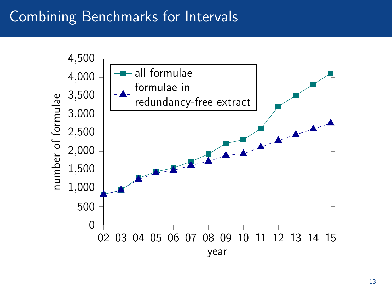#### Combining Benchmarks for Intervals

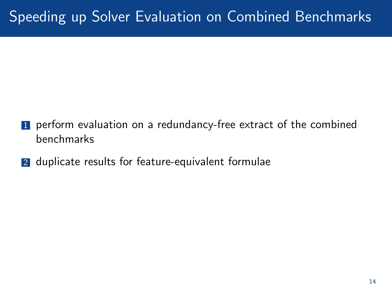## Speeding up Solver Evaluation on Combined Benchmarks

- **1** perform evaluation on a redundancy-free extract of the combined benchmarks
- 2 duplicate results for feature-equivalent formulae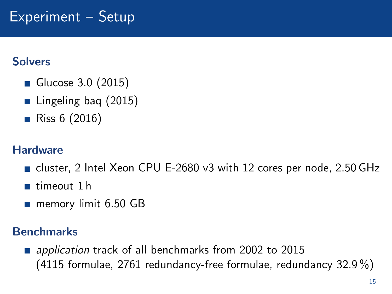#### **Solvers**

- Glucose 3.0 (2015)
- Lingeling bag (2015)
- **Riss 6 (2016)**

#### **Hardware**

- cluster, 2 Intel Xeon CPU E-2680 v3 with 12 cores per node, 2.50 GHz
- timeout 1 h
- memory limit 6.50 GB

#### **Benchmarks**

**a** application track of all benchmarks from 2002 to 2015 (4115 formulae, 2761 redundancy-free formulae, redundancy 32.9 %)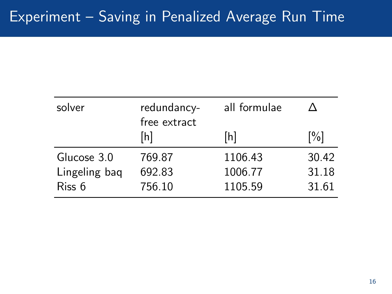| redundancy-<br>free extract | all formulae |       |
|-----------------------------|--------------|-------|
| [h]                         | [h]          | [%]   |
| 769.87                      | 1106.43      | 30.42 |
| 692.83                      | 1006.77      | 31.18 |
| 756.10                      | 1105.59      | 31.61 |
|                             |              |       |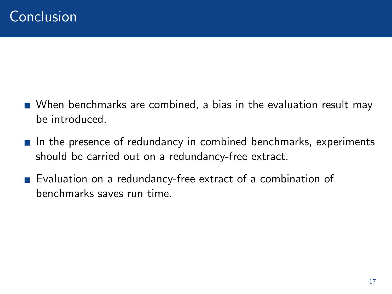- When benchmarks are combined, a bias in the evaluation result may be introduced.
- In the presence of redundancy in combined benchmarks, experiments should be carried out on a redundancy-free extract.
- Evaluation on a redundancy-free extract of a combination of benchmarks saves run time.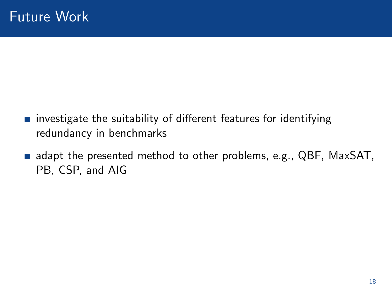- $\blacksquare$  investigate the suitability of different features for identifying redundancy in benchmarks
- adapt the presented method to other problems, e.g., QBF, MaxSAT, PB, CSP, and AIG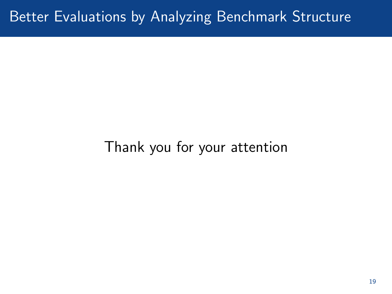#### Better Evaluations by Analyzing Benchmark Structure

# Thank you for your attention